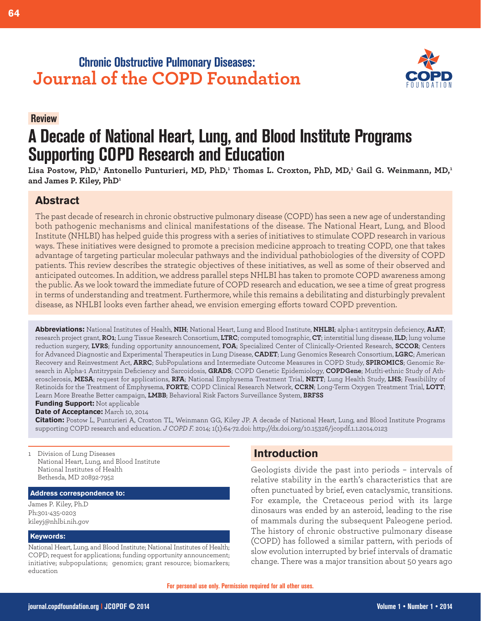## **Chronic Obstructive Pulmonary Diseases: Journal of the COPD Foundation**



# **A Decade of National Heart, Lung, and Blood Institute Programs Supporting COPD Research and Education**

Lisa Postow, PhD,<sup>1</sup> Antonello Punturieri, MD, PhD,<sup>1</sup> Thomas L. Croxton, PhD, MD,<sup>1</sup> Gail G. Weinmann, MD,<sup>1</sup> **and James P. Kiley, PhD1**

## **Abstract**

**Review.**

The past decade of research in chronic obstructive pulmonary disease (COPD) has seen a new age of understanding both pathogenic mechanisms and clinical manifestations of the disease. The National Heart, Lung, and Blood Institute (NHLBI) has helped guide this progress with a series of initiatives to stimulate COPD research in various ways. These initiatives were designed to promote a precision medicine approach to treating COPD, one that takes advantage of targeting particular molecular pathways and the individual pathobiologies of the diversity of COPD patients. This review describes the strategic objectives of these initiatives, as well as some of their observed and anticipated outcomes. In addition, we address parallel steps NHLBI has taken to promote COPD awareness among the public. As we look toward the immediate future of COPD research and education, we see a time of great progress in terms of understanding and treatment. Furthermore, while this remains a debilitating and disturbingly prevalent disease, as NHLBI looks even farther ahead, we envision emerging efforts toward COPD prevention.

**Abbreviations:** National Institutes of Health, **NIH**; National Heart, Lung and Blood Institute, **NHLBI**; alpha-1 antitrypsin deficiency, **A1AT**; research project grant, **RO1**; Lung Tissue Research Consortium, **LTRC**; computed tomographic, **CT**; interstitial lung disease, **ILD**; lung volume reduction surgery, **LVRS**; funding opportunity announcement, **FOA**; Specialized Center of Clinically-Oriented Research, **SCCOR**; Centers for Advanced Diagnostic and Experimental Therapeutics in Lung Disease, **CADET**; Lung Genomics Research Consortium, **LGRC**; American Recovery and Reinvestment Act, **ARRC**; SubPopulations and Intermediate Outcome Measures in COPD Study, **SPIROMICS**; Genomic Research in Alpha-1 Antitrypsin Deficiency and Sarcoidosis, **GRADS**; COPD Genetic Epidemiology, **COPDGene**; Mutlti-ethnic Study of Atherosclerosis, **MESA**; request for applications, **RFA**; National Emphysema Treatment Trial, **NETT**; Lung Health Study, **LHS**; Feasibililty of Retinoids for the Treatment of Emphysema, **FORTE**; COPD Clinical Research Network, **CCRN**; Long-Term Oxygen Treatment Trial, **LOTT**; Learn More Breathe Better campaign, **LMBB**; Behavioral Risk Factors Surveillance System, **BRFSS**

**Funding Support:** Not applicable

**Date of Acceptance:** March 10, 2014

**Citation:** Postow L, Punturieri A, Croxton TL, Weinmann GG, Kiley JP. A decade of National Heart, Lung, and Blood Institute Programs supporting COPD research and education. *J COPD F.* 2014; 1(1):64-72.doi: http://dx.doi.org/10.15326/jcopdf.1.1.2014.0123

1 Division of Lung Diseases National Heart, Lung, and Blood Institute National Institutes of Health Bethesda, MD 20892-7952

#### **Address correspondence to:**

James P. Kiley, Ph.D Ph:301-435-0203 kileyj@nhlbi.nih.gov

#### **Keywords:**

National Heart, Lung, and Blood Institute; National Institutes of Health; COPD; request for applications; funding opportunity announcement; initiative; subpopulations; genomics; grant resource; biomarkers; education

## **Introduction**

Geologists divide the past into periods – intervals of relative stability in the earth's characteristics that are often punctuated by brief, even cataclysmic, transitions. For example, the Cretaceous period with its large dinosaurs was ended by an asteroid, leading to the rise of mammals during the subsequent Paleogene period. The history of chronic obstructive pulmonary disease (COPD) has followed a similar pattern, with periods of slow evolution interrupted by brief intervals of dramatic change. There was a major transition about 50 years ago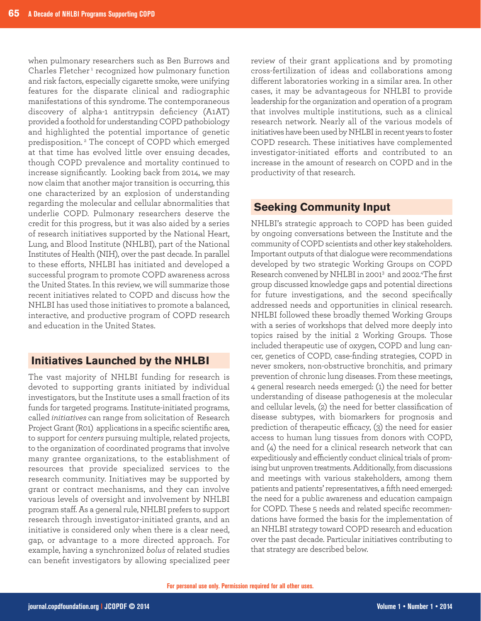when pulmonary researchers such as Ben Burrows and Charles Fletcher<sup>1</sup> recognized how pulmonary function and risk factors, especially cigarette smoke, were unifying features for the disparate clinical and radiographic manifestations of this syndrome. The contemporaneous discovery of alpha-1 antitrypsin deficiency (A1AT) provided a foothold for understanding COPD pathobiology and highlighted the potential importance of genetic predisposition.<sup>2</sup> The concept of COPD which emerged at that time has evolved little over ensuing decades, though COPD prevalence and mortality continued to increase significantly. Looking back from 2014, we may now claim that another major transition is occurring, this one characterized by an explosion of understanding regarding the molecular and cellular abnormalities that underlie COPD. Pulmonary researchers deserve the credit for this progress, but it was also aided by a series of research initiatives supported by the National Heart, Lung, and Blood Institute (NHLBI), part of the National Institutes of Health (NIH), over the past decade. In parallel to these efforts, NHLBI has initiated and developed a successful program to promote COPD awareness across the United States. In this review, we will summarize those recent initiatives related to COPD and discuss how the NHLBI has used those initiatives to promote a balanced, interactive, and productive program of COPD research and education in the United States.

#### **Initiatives Launched by the NHLBI**

The vast majority of NHLBI funding for research is devoted to supporting grants initiated by individual investigators, but the Institute uses a small fraction of its funds for targeted programs. Institute-initiated programs, called *initiatives* can range from solicitation of Research Project Grant (R01) applications in a specific scientific area, to support for *centers* pursuing multiple, related projects, to the organization of coordinated programs that involve many grantee organizations, to the establishment of resources that provide specialized services to the research community. Initiatives may be supported by grant or contract mechanisms, and they can involve various levels of oversight and involvement by NHLBI program staff. As a general rule, NHLBI prefers to support research through investigator-initiated grants, and an initiative is considered only when there is a clear need, gap, or advantage to a more directed approach. For example, having a synchronized *bolus* of related studies can benefit investigators by allowing specialized peer

review of their grant applications and by promoting cross-fertilization of ideas and collaborations among different laboratories working in a similar area. In other cases, it may be advantageous for NHLBI to provide leadership for the organization and operation of a program that involves multiple institutions, such as a clinical research network. Nearly all of the various models of initiatives have been used by NHLBI in recent years to foster COPD research. These initiatives have complemented investigator-initiated efforts and contributed to an increase in the amount of research on COPD and in the productivity of that research.

## **Seeking Community Input**

NHLBI's strategic approach to COPD has been guided by ongoing conversations between the Institute and the community of COPD scientists and other key stakeholders. Important outputs of that dialogue were recommendations developed by two strategic Working Groups on COPD Research convened by NHLBI in 20013 and 2002.4 The first group discussed knowledge gaps and potential directions for future investigations, and the second specifically addressed needs and opportunities in clinical research. NHLBI followed these broadly themed Working Groups with a series of workshops that delved more deeply into topics raised by the initial 2 Working Groups. Those included therapeutic use of oxygen, COPD and lung cancer, genetics of COPD, case-finding strategies, COPD in never smokers, non-obstructive bronchitis, and primary prevention of chronic lung diseases. From these meetings, 4 general research needs emerged: (1) the need for better understanding of disease pathogenesis at the molecular and cellular levels, (2) the need for better classification of disease subtypes, with biomarkers for prognosis and prediction of therapeutic efficacy, (3) the need for easier access to human lung tissues from donors with COPD, and (4) the need for a clinical research network that can expeditiously and efficiently conduct clinical trials of promising but unproven treatments. Additionally, from discussions and meetings with various stakeholders, among them patients and patients' representatives, a fifth need emerged: the need for a public awareness and education campaign for COPD. These 5 needs and related specific recommendations have formed the basis for the implementation of an NHLBI strategy toward COPD research and education over the past decade. Particular initiatives contributing to that strategy are described below.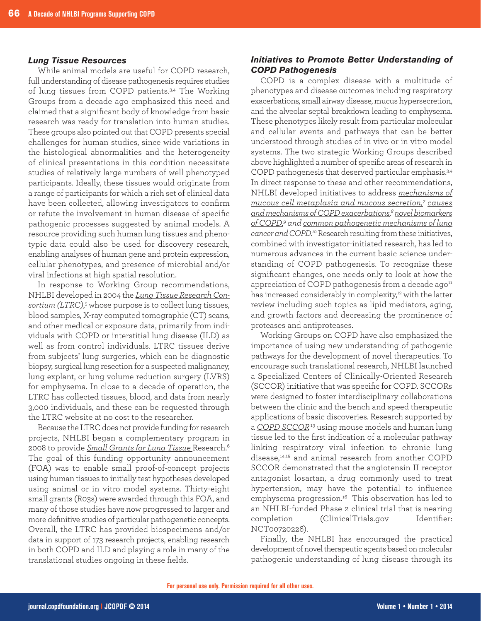#### *Lung Tissue Resources*

While animal models are useful for COPD research. full understanding of disease pathogenesis requires studies of lung tissues from COPD patients.<sup>3,4</sup> The Working Groups from a decade ago emphasized this need and claimed that a significant body of knowledge from basic research was ready for translation into human studies. These groups also pointed out that COPD presents special challenges for human studies, since wide variations in the histological abnormalities and the heterogeneity of clinical presentations in this condition necessitate studies of relatively large numbers of well phenotyped participants. Ideally, these tissues would originate from a range of participants for which a rich set of clinical data have been collected, allowing investigators to confirm or refute the involvement in human disease of specific pathogenic processes suggested by animal models. A resource providing such human lung tissues and phenotypic data could also be used for discovery research, enabling analyses of human gene and protein expression, cellular phenotypes, and presence of microbial and/or viral infections at high spatial resolution.

In response to Working Group recommendations, NHLBI developed in 2004 the *[Lung Tissue Research Con](http://www.ltrcpublic.com/)[sortium \(LTRC\)](http://www.ltrcpublic.com/)*, <sup>5</sup> whose purpose is to collect lung tissues, blood samples, X-ray computed tomographic (CT) scans, and other medical or exposure data, primarily from individuals with COPD or interstitial lung disease (ILD) as well as from control individuals. LTRC tissues derive from subjects' lung surgeries, which can be diagnostic biopsy, surgical lung resection for a suspected malignancy, lung explant, or lung volume reduction surgery (LVRS) for emphysema. In close to a decade of operation, the LTRC has collected tissues, blood, and data from nearly 3,000 individuals, and these can be requested through the LTRC website at no cost to the researcher.

Because the LTRC does not provide funding for research projects, NHLBI began a complementary program in 2008 to provide *[Small Grants for Lung Tissue](http://grants.nih.gov/grants/guide/rfa-files/RFA-HL-08-008.html)* Research.6 The goal of this funding opportunity announcement (FOA) was to enable small proof-of-concept projects using human tissues to initially test hypotheses developed using animal or in vitro model systems. Thirty-eight small grants (R03s) were awarded through this FOA, and many of those studies have now progressed to larger and more definitive studies of particular pathogenetic concepts. Overall, the LTRC has provided biospecimens and/or data in support of 173 research projects, enabling research in both COPD and ILD and playing a role in many of the translational studies ongoing in these fields.

#### *Initiatives to Promote Better Understanding of COPD Pathogenesis*

COPD is a complex disease with a multitude of phenotypes and disease outcomes including respiratory exacerbations, small airway disease, mucus hypersecretion, and the alveolar septal breakdown leading to emphysema. These phenotypes likely result from particular molecular and cellular events and pathways that can be better understood through studies of in vivo or in vitro model systems. The two strategic Working Groups described above highlighted a number of specific areas of research in COPD pathogenesis that deserved particular emphasis.<sup>3,4</sup> In direct response to these and other recommendations, NHLBI developed initiatives to address *[mechanisms of](http://grants.nih.gov/grants/guide/rfa-files/RFA-HL-02-011.html) [mucous cell metaplasia and mucous secretion,7](http://grants.nih.gov/grants/guide/rfa-files/RFA-HL-02-011.html) [causes](http://grants.nih.gov/grants/guide/rfa-files/RFA-HL-04-036.html) [and mechanisms of COPD exacerbations,](http://grants.nih.gov/grants/guide/rfa-files/RFA-HL-04-036.html) [8novel biomarkers](http://grants.nih.gov/grants/guide/rfa-files/RFA-HL-02-005.html) [of COPD,9](http://grants.nih.gov/grants/guide/rfa-files/RFA-HL-02-005.html) and [common pathogenetic mechanisms of lung](http://grants.nih.gov/grants/guide/rfa-files/RFA-HL-11-002.html) [cancer and COPD.](http://grants.nih.gov/grants/guide/rfa-files/RFA-HL-11-002.html) <sup>10</sup>*Research resulting from these initiatives, combined with investigator-initiated research, has led to numerous advances in the current basic science understanding of COPD pathogenesis. To recognize these significant changes, one needs only to look at how the appreciation of COPD pathogenesis from a decade ago<sup>11</sup> has increased considerably in complexity,<sup>12</sup> with the latter review including such topics as lipid mediators, aging, and growth factors and decreasing the prominence of proteases and antiproteases.

Working Groups on COPD have also emphasized the importance of using new understanding of pathogenic pathways for the development of novel therapeutics. To encourage such translational research, NHLBI launched a Specialized Centers of Clinically-Oriented Research (SCCOR) initiative that was specific for COPD. SCCORs were designed to foster interdisciplinary collaborations between the clinic and the bench and speed therapeutic applications of basic discoveries. Research supported by a *COPD SCCOR*<sup>13</sup> [using mouse models and human lung](http://grants.nih.gov/grants/guide/rfa-files/RFA-HL-05-008.html) tissue led to the first indication of a molecular pathway linking respiratory viral infection to chronic lung disease,<sup>14,15</sup> and animal research from another COPD SCCOR demonstrated that the angiotensin II receptor antagonist losartan, a drug commonly used to treat hypertension, may have the potential to influence emphysema progression.<sup>16</sup> This observation has led to an NHLBI-funded Phase 2 clinical trial that is nearing completion (ClinicalTrials.gov Identifier: NCT00720226).

Finally, the NHLBI has encouraged the practical development of novel therapeutic agents based on molecular pathogenic understanding of lung disease through its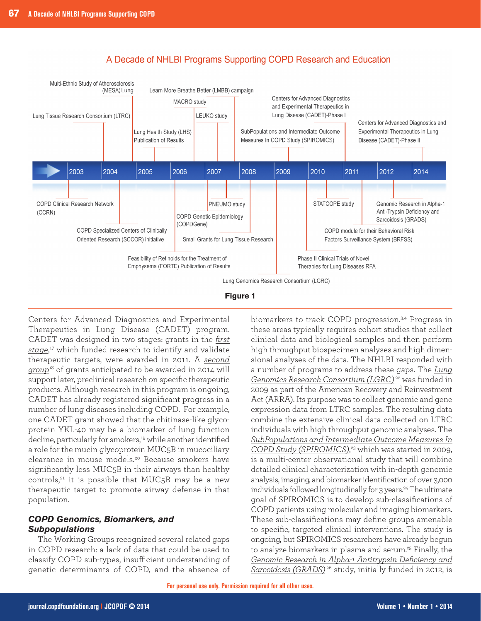

## A Decade of NHLBI Programs Supporting COPD Research and Education



Centers for Advanced Diagnostics and Experimental Therapeutics in Lung Disease (CADET) program. CADET was designed in two stages: grants in the *[first](http://grants.nih.gov/grants/guide/rfa-files/RFA-HL-11-015.html) [stage](http://grants.nih.gov/grants/guide/rfa-files/RFA-HL-11-015.html)*, <sup>17</sup> which funded research to identify and validate therapeutic targets, were awarded in 2011. A *[second](http://grants.nih.gov/grants/guide/rfa-files/RFA-HL-14-001.html) [group](http://grants.nih.gov/grants/guide/rfa-files/RFA-HL-14-001.html)*<sup>18</sup> of grants anticipated to be awarded in 2014 will support later, preclinical research on specific therapeutic products. Although research in this program is ongoing, CADET has already registered significant progress in a number of lung diseases including COPD. For example, one CADET grant showed that the chitinase-like glycoprotein YKL-40 may be a biomarker of lung function decline, particularly for smokers,<sup>19</sup> while another identified a role for the mucin glycoprotein MUC5B in mucociliary clearance in mouse models.20 Because smokers have significantly less MUC5B in their airways than healthy controls, $21$  it is possible that MUC5B may be a new therapeutic target to promote airway defense in that population.

#### *COPD Genomics, Biomarkers, and Subpopulations*

The Working Groups recognized several related gaps in COPD research: a lack of data that could be used to classify COPD sub-types, insufficient understanding of genetic determinants of COPD, and the absence of biomarkers to track COPD progression.3,4 Progress in these areas typically requires cohort studies that collect clinical data and biological samples and then perform high throughput biospecimen analyses and high dimensional analyses of the data. The NHLBI responded with a number of programs to address these gaps. The *[Lung](http://www.lung-genomics.org/lgrc) [Genomics Research Consortium \(LGRC\)](http://www.lung-genomics.org/lgrc)* <sup>22</sup> was funded in 2009 as part of the American Recovery and Reinvestment Act (ARRA). Its purpose was to collect genomic and gene expression data from LTRC samples. The resulting data combine the extensive clinical data collected on LTRC individuals with high throughput genomic analyses. The *[SubPopulations and Intermediate Outcome Measures In](http://www.cscc.unc.edu/spir/) [COPD Study \(SPIROMICS\)](http://www.cscc.unc.edu/spir/)*, <sup>23</sup> which was started in 2009, is a multi-center observational study that will combine detailed clinical characterization with in-depth genomic analysis, imaging, and biomarker identification of over 3,000 individuals followed longitudinally for 3 years.<sup>24</sup> The ultimate goal of SPIROMICS is to develop sub-classifications of COPD patients using molecular and imaging biomarkers. These sub-classifications may define groups amenable to specific, targeted clinical interventions. The study is ongoing, but SPIROMICS researchers have already begun to analyze biomarkers in plasma and serum.<sup>25</sup> Finally, the *[Genomic Research in Alpha-1 Antitrypsin Deficiency and](https://www.gradslung.org/index.html) Sarcoidosis (GRADS)* <sup>26</sup> [study, initially funded in 2012, is](https://www.gradslung.org/index.html)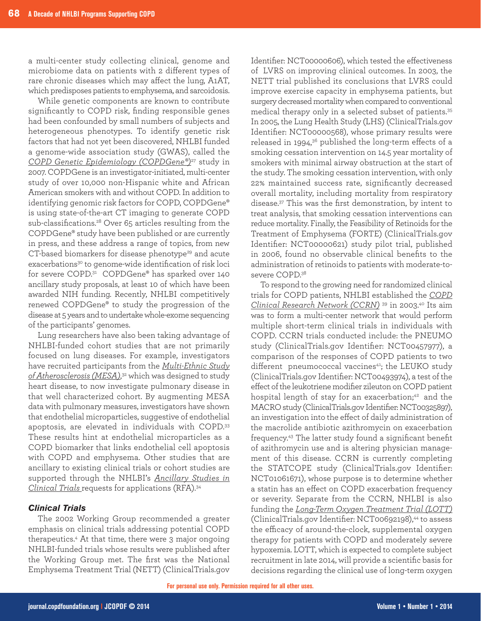a multi-center study collecting clinical, genome and microbiome data on patients with 2 different types of rare chronic diseases which may affect the lung, A1AT, which predisposes patients to emphysema, and sarcoidosis.

While genetic components are known to contribute significantly to COPD risk, finding responsible genes had been confounded by small numbers of subjects and heterogeneous phenotypes. To identify genetic risk factors that had not yet been discovered, NHLBI funded a genome-wide association study (GWAS), called the *[COPD Genetic Epidemiology \(COPDGene®\)](http://www.copdgene.org/)*<sup>27</sup> study in 2007. COPDGene is an investigator-initiated, multi-center study of over 10,000 non-Hispanic white and African American smokers with and without COPD. In addition to identifying genomic risk factors for COPD, COPDGene® is using state-of-the-art CT imaging to generate COPD sub-classifications.<sup>28</sup> Over 65 articles resulting from the COPDGene® study have been published or are currently in press, and these address a range of topics, from new CT-based biomarkers for disease phenotype<sup>29</sup> and acute exacerbations<sup>30</sup> to genome-wide identification of risk loci for severe COPD.31 COPDGene® has sparked over 140 ancillary study proposals, at least 10 of which have been awarded NIH funding. Recently, NHLBI competitively renewed COPDGene® to study the progression of the disease at 5 years and to undertake whole-exome sequencing of the participants' genomes.

Lung researchers have also been taking advantage of NHLBI-funded cohort studies that are not primarily focused on lung diseases. For example, investigators have recruited participants from the *[Multi-Ethnic Study](http://www.mesa-nhlbi.org/) [of Atherosclerosis \(MESA\)](http://www.mesa-nhlbi.org/)*, <sup>32</sup> which was designed to study heart disease, to now investigate pulmonary disease in that well characterized cohort. By augmenting MESA data with pulmonary measures, investigators have shown that endothelial microparticles, suggestive of endothelial apoptosis, are elevated in individuals with COPD.33 These results hint at endothelial microparticles as a COPD biomarker that links endothelial cell apoptosis with COPD and emphysema. Other studies that are ancillary to existing clinical trials or cohort studies are supported through the NHLBI's *[Ancillary Studies in](http://grants.nih.gov/grants/guide/rfa-files/RFA-HL-14-004.html)  [Clinical Trials](http://grants.nih.gov/grants/guide/rfa-files/RFA-HL-14-004.html)* requests for applications (RFA).34

#### *Clinical Trials*

The 2002 Working Group recommended a greater emphasis on clinical trials addressing potential COPD therapeutics.4 At that time, there were 3 major ongoing NHLBI-funded trials whose results were published after the Working Group met. The first was the National Emphysema Treatment Trial (NETT) (ClinicalTrials.gov

Identifier: NCT00000606), which tested the effectiveness of LVRS on improving clinical outcomes. In 2003, the NETT trial published its conclusions that LVRS could improve exercise capacity in emphysema patients, but surgery decreased mortality when compared to conventional medical therapy only in a selected subset of patients.<sup>35</sup> In 2005, the Lung Health Study (LHS) (ClinicalTrials.gov Identifier: NCT00000568), whose primary results were released in 1994,<sup>36</sup> published the long-term effects of a smoking cessation intervention on 14.5 year mortality of smokers with minimal airway obstruction at the start of the study. The smoking cessation intervention, with only 22% maintained success rate, significantly decreased overall mortality, including mortality from respiratory disease.37 This was the first demonstration, by intent to treat analysis, that smoking cessation interventions can reduce mortality. Finally, the Feasibility of Retinoids for the Treatment of Emphysema (FORTE) (ClinicalTrials.gov Identifier: NCT00000621) study pilot trial, published in 2006, found no observable clinical benefits to the administration of retinoids to patients with moderate-tosevere COPD.<sup>38</sup>

To respond to the growing need for randomized clinical trials for COPD patients, NHLBI established the *[COPD](http://www.copdcrn.org/) [Clinical Research Network \(CCRN\)](http://www.copdcrn.org/)* <sup>39</sup> in 2003.40 Its aim was to form a multi-center network that would perform multiple short-term clinical trials in individuals with COPD. CCRN trials conducted include: the PNEUMO study (ClinicalTrials.gov Identifier: NCT00457977), a comparison of the responses of COPD patients to two different pneumococcal vaccines<sup>41</sup>; the LEUKO study (ClinicalTrials.gov Identifier: NCT00493974), a test of the effect of the leukotriene modifier zileuton on COPD patient hospital length of stay for an exacerbation;<sup>42</sup> and the MACRO study (ClinicalTrials.gov Identifier: NCT00325897), an investigation into the effect of daily administration of the macrolide antibiotic azithromycin on exacerbation frequency.43 The latter study found a significant benefit of azithromycin use and is altering physician management of this disease. CCRN is currently completing the STATCOPE study (ClinicalTrials.gov Identifier: NCT01061671), whose purpose is to determine whether a statin has an effect on COPD exacerbation frequency or severity. Separate from the CCRN, NHLBI is also funding the *[Long-Term Oxygen Treatment Trial \(LOTT\)](http://jhuccs1.us/lott/)* (ClinicalTrials.gov Identifier: NCT00692198),<sup>44</sup> to assess the efficacy of around-the-clock, supplemental oxygen therapy for patients with COPD and moderately severe hypoxemia. LOTT, which is expected to complete subject recruitment in late 2014, will provide a scientific basis for decisions regarding the clinical use of long-term oxygen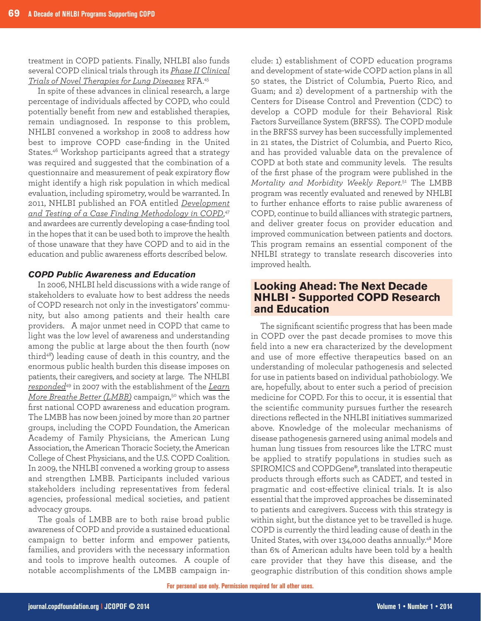treatment in COPD patients. Finally, NHLBI also funds several COPD clinical trials through its *[Phase II Clinical](http://grants1.nih.gov/grants/guide/rfa-files/RFA-HL-12-022.html) [Trials of Novel Therapies for Lung Diseases](http://grants1.nih.gov/grants/guide/rfa-files/RFA-HL-12-022.html)* RFA.45

In spite of these advances in clinical research, a large percentage of individuals affected by COPD, who could potentially benefit from new and established therapies, remain undiagnosed. In response to this problem, NHLBI convened a workshop in 2008 to address how best to improve COPD case-finding in the United States.46 Workshop participants agreed that a strategy was required and suggested that the combination of a questionnaire and measurement of peak expiratory flow might identify a high risk population in which medical evaluation, including spirometry, would be warranted. In 2011, NHLBI published an FOA entitled *[Development](http://grants1.nih.gov/grants/guide/rfa-files/RFA-HL-12-011.html) [and Testing of a Case Finding Methodology in COPD](http://grants1.nih.gov/grants/guide/rfa-files/RFA-HL-12-011.html)*, 47 and awardees are currently developing a case-finding tool in the hopes that it can be used both to improve the health of those unaware that they have COPD and to aid in the education and public awareness efforts described below.

#### *COPD Public Awareness and Education*

In 2006, NHLBI held discussions with a wide range of stakeholders to evaluate how to best address the needs of COPD research not only in the investigators' community, but also among patients and their health care providers. A major unmet need in COPD that came to light was the low level of awareness and understanding among the public at large about the then fourth (now third<sup>48</sup>) leading cause of death in this country, and the enormous public health burden this disease imposes on patients, their caregivers, and society at large. The NHLBI *[responded](http://www.nhlbi.nih.gov/news/press-releases/2007/nih-launches-new-campaign-aimed-at-increasing-awareness-early-diagnosis-and-treatment-of-copd.html)*<sup>49</sup> in 2007 with the establishment of the *[Learn](http://www.nhlbi.nih.gov/health/public/lung/copd/lmbb-campaign/) [More Breathe Better \(LMBB\)](http://www.nhlbi.nih.gov/health/public/lung/copd/lmbb-campaign/)* campaign,<sup>50</sup> which was the first national COPD awareness and education program. The LMBB has now been joined by more than 20 partner groups, including the COPD Foundation, the American Academy of Family Physicians, the American Lung Association, the American Thoracic Society, the American College of Chest Physicians, and the U.S. COPD Coalition. In 2009, the NHLBI convened a working group to assess and strengthen LMBB. Participants included various stakeholders including representatives from federal agencies, professional medical societies, and patient advocacy groups.

The goals of LMBB are to both raise broad public awareness of COPD and provide a sustained educational campaign to better inform and empower patients, families, and providers with the necessary information and tools to improve health outcomes. A couple of notable accomplishments of the LMBB campaign in-

clude: 1) establishment of COPD education programs and development of state-wide COPD action plans in all 50 states, the District of Columbia, Puerto Rico, and Guam; and 2) development of a partnership with the Centers for Disease Control and Prevention (CDC) to develop a COPD module for their Behavioral Risk Factors Surveillance System (BRFSS). The COPD module in the BRFSS survey has been successfully implemented in 21 states, the District of Columbia, and Puerto Rico, and has provided valuable data on the prevalence of COPD at both state and community levels. The results of the first phase of the program were published in the *Mortality and Morbidity Weekly Report.*<sup>51</sup> The LMBB program was recently evaluated and renewed by NHLBI to further enhance efforts to raise public awareness of COPD, continue to build alliances with strategic partners, and deliver greater focus on provider education and improved communication between patients and doctors. This program remains an essential component of the NHLBI strategy to translate research discoveries into improved health.

### **Looking Ahead: The Next Decade NHLBI - Supported COPD Research and Education**

The significant scientific progress that has been made in COPD over the past decade promises to move this field into a new era characterized by the development and use of more effective therapeutics based on an understanding of molecular pathogenesis and selected for use in patients based on individual pathobiology. We are, hopefully, about to enter such a period of precision medicine for COPD. For this to occur, it is essential that the scientific community pursues further the research directions reflected in the NHLBI initiatives summarized above. Knowledge of the molecular mechanisms of disease pathogenesis garnered using animal models and human lung tissues from resources like the LTRC must be applied to stratify populations in studies such as SPIROMICS and COPDGene®, translated into therapeutic products through efforts such as CADET, and tested in pragmatic and cost-effective clinical trials. It is also essential that the improved approaches be disseminated to patients and caregivers. Success with this strategy is within sight, but the distance yet to be travelled is huge. COPD is currently the third leading cause of death in the United States, with over 134,000 deaths annually.48 More than 6% of American adults have been told by a health care provider that they have this disease, and the geographic distribution of this condition shows ample

**For personal use only. Permission required for all other uses.**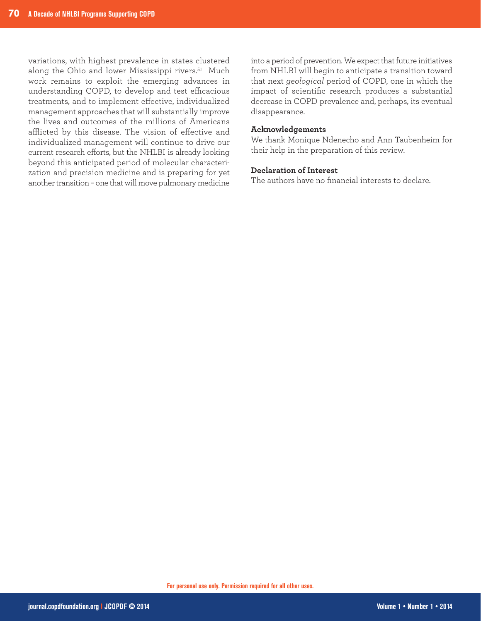variations, with highest prevalence in states clustered along the Ohio and lower Mississippi rivers.51 Much work remains to exploit the emerging advances in understanding COPD, to develop and test efficacious treatments, and to implement effective, individualized management approaches that will substantially improve the lives and outcomes of the millions of Americans afflicted by this disease. The vision of effective and individualized management will continue to drive our current research efforts, but the NHLBI is already looking beyond this anticipated period of molecular characterization and precision medicine and is preparing for yet another transition – one that will move pulmonary medicine

into a period of prevention. We expect that future initiatives from NHLBI will begin to anticipate a transition toward that next *geological* period of COPD, one in which the impact of scientific research produces a substantial decrease in COPD prevalence and, perhaps, its eventual disappearance.

#### **Acknowledgements**

We thank Monique Ndenecho and Ann Taubenheim for their help in the preparation of this review.

#### **Declaration of Interest**

The authors have no financial interests to declare.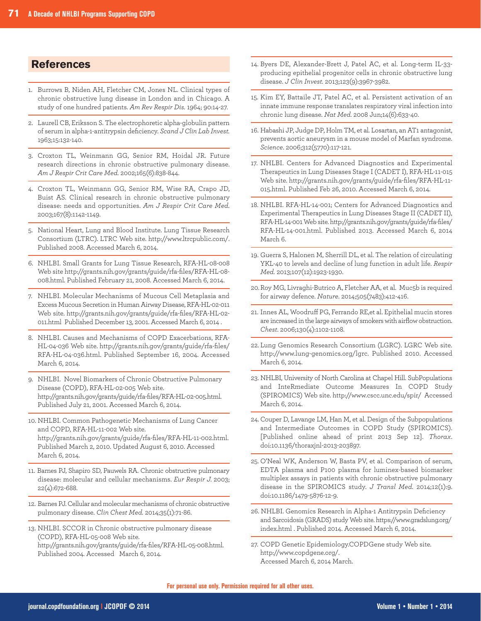## **References**

- 1. Burrows B, Niden AH, Fletcher CM, Jones NL. Clinical types of chronic obstructive lung disease in London and in Chicago. A study of one hundred patients. *Am Rev Respir Dis.* 1964; 90:14-27.
- 2. Laurell CB, Eriksson S. The electrophoretic alpha-globulin pattern of serum in alpha-1-antitrypsin deficiency. *Scand J Clin Lab Invest.* 1963;15:132-140.
- 3. Croxton TL, Weinmann GG, Senior RM, Hoidal JR. Future research directions in chronic obstructive pulmonary disease. *Am J Respir Crit Care Med.* 2002;165(6):838-844.
- 4. Croxton TL, Weinmann GG, Senior RM, Wise RA, Crapo JD, Buist AS. Clinical research in chronic obstructive pulmonary disease: needs and opportunities. *Am J Respir Crit Care Med.* 2003;167(8):1142-1149.
- 5. National Heart, Lung and Blood Institute. Lung Tissue Research Consortium (LTRC). LTRC Web site. http://www.ltrcpublic.com/. Published 2008. Accessed March 6, 2014.
- 6. NHLBI. Small Grants for Lung Tissue Research, RFA-HL-08-008 Web site http://grants.nih.gov/grants/guide/rfa-files/RFA-HL-08- 008.html. Published February 21, 2008. Accessed March 6, 2014.
- 7. NHLBI. Molecular Mechanisms of Mucous Cell Metaplasia and Excess Mucous Secretion in Human Airway Disease, RFA-HL-02-011 Web site. http://grants.nih.gov/grants/guide/rfa-files/RFA-HL-02- 011.html Published December 13, 2001. Accessed March 6, 2014 .
- 8. NHLBI. Causes and Mechanisms of COPD Exacerbations, RFA-HL-04-036 Web site. http://grants.nih.gov/grants/guide/rfa-files/ RFA-HL-04-036.html. Published September 16, 2004. Accessed March 6, 2014.
- 9. NHLBI. Novel Biomarkers of Chronic Obstructive Pulmonary Disease (COPD), RFA-HL-02-005 Web site. http://grants.nih.gov/grants/guide/rfa-files/RFA-HL-02-005.html. Published July 21, 2001. Accessed March 6, 2014.
- 10. NHLBI. Common Pathogenetic Mechanisms of Lung Cancer and COPD, RFA-HL-11-002 Web site. http://grants.nih.gov/grants/guide/rfa-files/RFA-HL-11-002.html. Published March 2, 2010. Updated August 6, 2010. Accessed March 6, 2014.
- 11. Barnes PJ, Shapiro SD, Pauwels RA. Chronic obstructive pulmonary disease: molecular and cellular mechanisms. *Eur Respir J.* 2003; 22(4):672-688.
- 12. Barnes PJ. Cellular and molecular mechanisms of chronic obstructive pulmonary disease. *Clin Chest Med.* 2014;35(1):71-86.

13. NHLBI. SCCOR in Chronic obstructive pulmonary disease (COPD), RFA-HL-05-008 Web site. http://grants.nih.gov/grants/guide/rfa-files/RFA-HL-05-008.html. Published 2004. Accessed March 6, 2014.

- 14. Byers DE, Alexander-Brett J, Patel AC, et al. Long-term IL-33 producing epithelial progenitor cells in chronic obstructive lung disease. *J Clin Invest.* 2013;123(9):3967-3982.
- 15. Kim EY, Battaile JT, Patel AC, et al. Persistent activation of an innate immune response translates respiratory viral infection into chronic lung disease. *Nat Med.* 2008 Jun;14(6):633-40.
- 16. Habashi JP, Judge DP, Holm TM, et al. Losartan, an AT1 antagonist, prevents aortic aneurysm in a mouse model of Marfan syndrome. *Science*. 2006;312(5770):117-121.
- 17. NHLBI. Centers for Advanced Diagnostics and Experimental Therapeutics in Lung Diseases Stage I (CADET I), RFA-HL-11-015 Web site. http://grants.nih.gov/grants/guide/rfa-files/RFA-HL-11- 015.html. Published Feb 26, 2010. Accessed March 6, 2014.
- 18. NHLBI. RFA-HL-14-001; Centers for Advanced Diagnostics and Experimental Therapeutics in Lung Diseases Stage II (CADET II), RFA-HL-14-001 Web site. http://grants.nih.gov/grants/guide/rfa-files/ RFA-HL-14-001.html. Published 2013. Accessed March 6, 2014 March 6.
- 19. Guerra S, Halonen M, Sherrill DL, et al. The relation of circulating YKL-40 to levels and decline of lung function in adult life. *Respir Med.* 2013;107(12):1923-1930.
- 20. Roy MG, Livraghi-Butrico A, Fletcher AA, et al. Muc5b is required for airway defence. *Nature*. 2014;505(7483):412-416.
- 21. Innes AL, Woodruff PG, Ferrando RE,et al. Epithelial mucin stores are increased in the large airways of smokers with airflow obstruction. *Chest*. 2006;130(4):1102-1108.
- 22. Lung Genomics Research Consortium (LGRC). LGRC Web site. http://www.lung-genomics.org/lgrc. Published 2010. Accessed March 6, 2014.
- 23. NHLBI, University of North Carolina at Chapel Hill. SubPopulations and InteRmediate Outcome Measures In COPD Study (SPIROMICS) Web site. http://www.cscc.unc.edu/spir/ Accessed March 6, 2014.
- 24. Couper D, Lavange LM, Han M, et al. Design of the Subpopulations and Intermediate Outcomes in COPD Study (SPIROMICS). [Published online ahead of print 2013 Sep 12]. *Thorax*. doi:10.1136/thoraxjnl-2013-203897.
- 25. O'Neal WK, Anderson W, Basta PV, et al. Comparison of serum, EDTA plasma and P100 plasma for luminex-based biomarker multiplex assays in patients with chronic obstructive pulmonary disease in the SPIROMICS study. *J Transl Med.* 2014;12(1):9. doi:10.1186/1479-5876-12-9.
- 26. NHLBI. Genomics Research in Alpha-1 Antitrypsin Deficiency and Sarcoidosis (GRADS) study Web site. https://www.gradslung.org/ index.html . Published 2014. Accessed March 6, 2014.
- 27. COPD Genetic Epidemiology.COPDGene study Web site. http://www.copdgene.org/. Accessed March 6, 2014 March.

**For personal use only. Permission required for all other uses.**